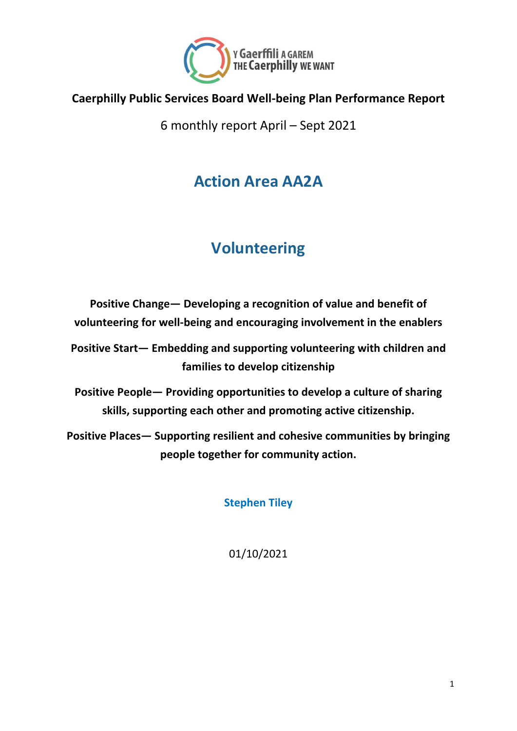

#### **Caerphilly Public Services Board Well-being Plan Performance Report**

6 monthly report April – Sept 2021

#### **Action Area AA2A**

# **Volunteering**

**Positive Change— Developing a recognition of value and benefit of volunteering for well-being and encouraging involvement in the enablers**

**Positive Start— Embedding and supporting volunteering with children and families to develop citizenship**

**Positive People— Providing opportunities to develop a culture of sharing skills, supporting each other and promoting active citizenship.**

**Positive Places— Supporting resilient and cohesive communities by bringing people together for community action.**

**Stephen Tiley**

01/10/2021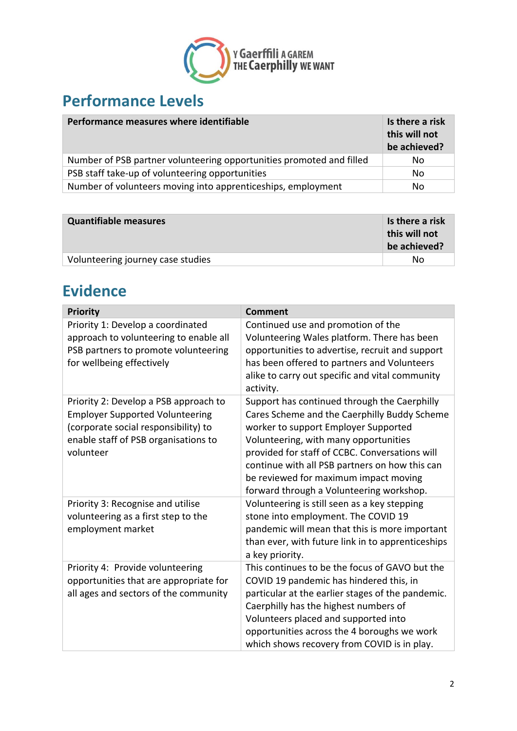

### **Performance Levels**

| Performance measures where identifiable                              | Is there a risk<br>this will not<br>be achieved? |
|----------------------------------------------------------------------|--------------------------------------------------|
| Number of PSB partner volunteering opportunities promoted and filled | No.                                              |
| PSB staff take-up of volunteering opportunities                      | No                                               |
| Number of volunteers moving into apprenticeships, employment         | No                                               |

| <b>Quantifiable measures</b>      | Is there a risk<br>this will not<br>be achieved? |
|-----------------------------------|--------------------------------------------------|
| Volunteering journey case studies | Nο                                               |

#### **Evidence**

| <b>Priority</b>                                                                                                                                                              | <b>Comment</b>                                                                                                                                                                                                                                                                                                                                                         |
|------------------------------------------------------------------------------------------------------------------------------------------------------------------------------|------------------------------------------------------------------------------------------------------------------------------------------------------------------------------------------------------------------------------------------------------------------------------------------------------------------------------------------------------------------------|
| Priority 1: Develop a coordinated<br>approach to volunteering to enable all<br>PSB partners to promote volunteering<br>for wellbeing effectively                             | Continued use and promotion of the<br>Volunteering Wales platform. There has been<br>opportunities to advertise, recruit and support<br>has been offered to partners and Volunteers<br>alike to carry out specific and vital community<br>activity.                                                                                                                    |
| Priority 2: Develop a PSB approach to<br><b>Employer Supported Volunteering</b><br>(corporate social responsibility) to<br>enable staff of PSB organisations to<br>volunteer | Support has continued through the Caerphilly<br>Cares Scheme and the Caerphilly Buddy Scheme<br>worker to support Employer Supported<br>Volunteering, with many opportunities<br>provided for staff of CCBC. Conversations will<br>continue with all PSB partners on how this can<br>be reviewed for maximum impact moving<br>forward through a Volunteering workshop. |
| Priority 3: Recognise and utilise<br>volunteering as a first step to the<br>employment market                                                                                | Volunteering is still seen as a key stepping<br>stone into employment. The COVID 19<br>pandemic will mean that this is more important<br>than ever, with future link in to apprenticeships<br>a key priority.                                                                                                                                                          |
| Priority 4: Provide volunteering<br>opportunities that are appropriate for<br>all ages and sectors of the community                                                          | This continues to be the focus of GAVO but the<br>COVID 19 pandemic has hindered this, in<br>particular at the earlier stages of the pandemic.<br>Caerphilly has the highest numbers of<br>Volunteers placed and supported into<br>opportunities across the 4 boroughs we work<br>which shows recovery from COVID is in play.                                          |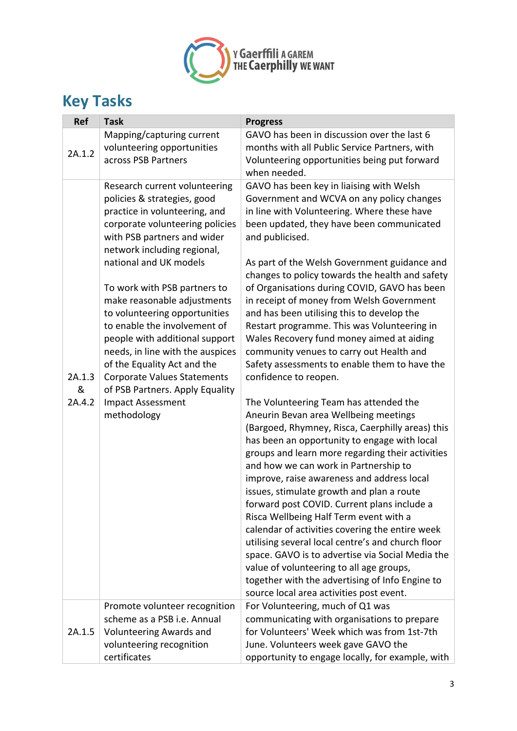

## **Key Tasks**

| <b>Ref</b> | <b>Task</b>                                           | <b>Progress</b>                                                                                 |
|------------|-------------------------------------------------------|-------------------------------------------------------------------------------------------------|
| 2A.1.2     | Mapping/capturing current                             | GAVO has been in discussion over the last 6                                                     |
|            | volunteering opportunities                            | months with all Public Service Partners, with                                                   |
|            | across PSB Partners                                   | Volunteering opportunities being put forward                                                    |
|            |                                                       | when needed.                                                                                    |
|            | Research current volunteering                         | GAVO has been key in liaising with Welsh                                                        |
|            | policies & strategies, good                           | Government and WCVA on any policy changes                                                       |
|            | practice in volunteering, and                         | in line with Volunteering. Where these have                                                     |
|            | corporate volunteering policies                       | been updated, they have been communicated                                                       |
|            | with PSB partners and wider                           | and publicised.                                                                                 |
|            | network including regional,<br>national and UK models |                                                                                                 |
|            |                                                       | As part of the Welsh Government guidance and<br>changes to policy towards the health and safety |
|            | To work with PSB partners to                          | of Organisations during COVID, GAVO has been                                                    |
|            | make reasonable adjustments                           | in receipt of money from Welsh Government                                                       |
|            | to volunteering opportunities                         | and has been utilising this to develop the                                                      |
|            | to enable the involvement of                          | Restart programme. This was Volunteering in                                                     |
|            | people with additional support                        | Wales Recovery fund money aimed at aiding                                                       |
|            | needs, in line with the auspices                      | community venues to carry out Health and                                                        |
|            | of the Equality Act and the                           | Safety assessments to enable them to have the                                                   |
| 2A.1.3     | <b>Corporate Values Statements</b>                    | confidence to reopen.                                                                           |
| &          | of PSB Partners. Apply Equality                       |                                                                                                 |
| 2A.4.2     | <b>Impact Assessment</b>                              | The Volunteering Team has attended the                                                          |
|            | methodology                                           | Aneurin Bevan area Wellbeing meetings                                                           |
|            |                                                       | (Bargoed, Rhymney, Risca, Caerphilly areas) this                                                |
|            |                                                       | has been an opportunity to engage with local                                                    |
|            |                                                       | groups and learn more regarding their activities                                                |
|            |                                                       | and how we can work in Partnership to                                                           |
|            |                                                       | improve, raise awareness and address local                                                      |
|            |                                                       | issues, stimulate growth and plan a route<br>forward post COVID. Current plans include a        |
|            |                                                       | Risca Wellbeing Half Term event with a                                                          |
|            |                                                       | calendar of activities covering the entire week                                                 |
|            |                                                       | utilising several local centre's and church floor                                               |
|            |                                                       | space. GAVO is to advertise via Social Media the                                                |
|            |                                                       | value of volunteering to all age groups,                                                        |
|            |                                                       | together with the advertising of Info Engine to                                                 |
|            |                                                       | source local area activities post event.                                                        |
|            | Promote volunteer recognition                         | For Volunteering, much of Q1 was                                                                |
| 2A.1.5     | scheme as a PSB i.e. Annual                           | communicating with organisations to prepare                                                     |
|            | <b>Volunteering Awards and</b>                        | for Volunteers' Week which was from 1st-7th                                                     |
|            | volunteering recognition                              | June. Volunteers week gave GAVO the                                                             |
|            | certificates                                          | opportunity to engage locally, for example, with                                                |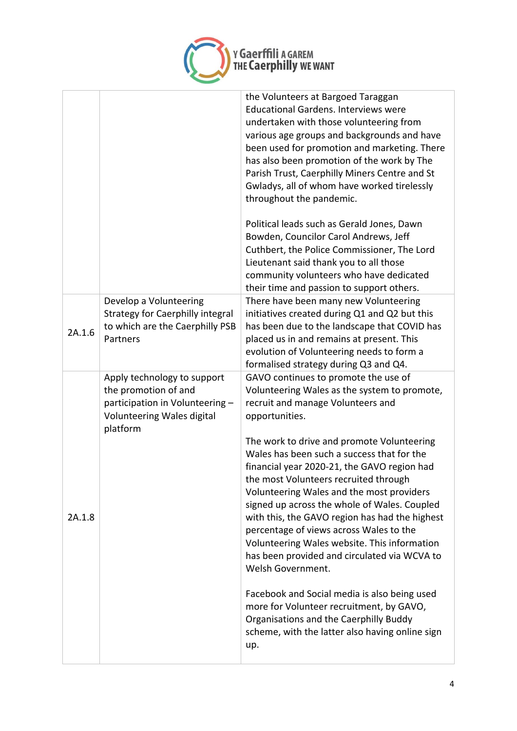

|        |                                                                                                                                  | the Volunteers at Bargoed Taraggan<br><b>Educational Gardens. Interviews were</b><br>undertaken with those volunteering from<br>various age groups and backgrounds and have<br>been used for promotion and marketing. There<br>has also been promotion of the work by The<br>Parish Trust, Caerphilly Miners Centre and St<br>Gwladys, all of whom have worked tirelessly<br>throughout the pandemic.<br>Political leads such as Gerald Jones, Dawn<br>Bowden, Councilor Carol Andrews, Jeff<br>Cuthbert, the Police Commissioner, The Lord<br>Lieutenant said thank you to all those<br>community volunteers who have dedicated<br>their time and passion to support others.                                                                                                                                                                  |
|--------|----------------------------------------------------------------------------------------------------------------------------------|------------------------------------------------------------------------------------------------------------------------------------------------------------------------------------------------------------------------------------------------------------------------------------------------------------------------------------------------------------------------------------------------------------------------------------------------------------------------------------------------------------------------------------------------------------------------------------------------------------------------------------------------------------------------------------------------------------------------------------------------------------------------------------------------------------------------------------------------|
| 2A.1.6 | Develop a Volunteering<br><b>Strategy for Caerphilly integral</b><br>to which are the Caerphilly PSB<br>Partners                 | There have been many new Volunteering<br>initiatives created during Q1 and Q2 but this<br>has been due to the landscape that COVID has<br>placed us in and remains at present. This<br>evolution of Volunteering needs to form a<br>formalised strategy during Q3 and Q4.                                                                                                                                                                                                                                                                                                                                                                                                                                                                                                                                                                      |
| 2A.1.8 | Apply technology to support<br>the promotion of and<br>participation in Volunteering -<br>Volunteering Wales digital<br>platform | GAVO continues to promote the use of<br>Volunteering Wales as the system to promote,<br>recruit and manage Volunteers and<br>opportunities.<br>The work to drive and promote Volunteering<br>Wales has been such a success that for the<br>financial year 2020-21, the GAVO region had<br>the most Volunteers recruited through<br>Volunteering Wales and the most providers<br>signed up across the whole of Wales. Coupled<br>with this, the GAVO region has had the highest<br>percentage of views across Wales to the<br>Volunteering Wales website. This information<br>has been provided and circulated via WCVA to<br>Welsh Government.<br>Facebook and Social media is also being used<br>more for Volunteer recruitment, by GAVO,<br>Organisations and the Caerphilly Buddy<br>scheme, with the latter also having online sign<br>up. |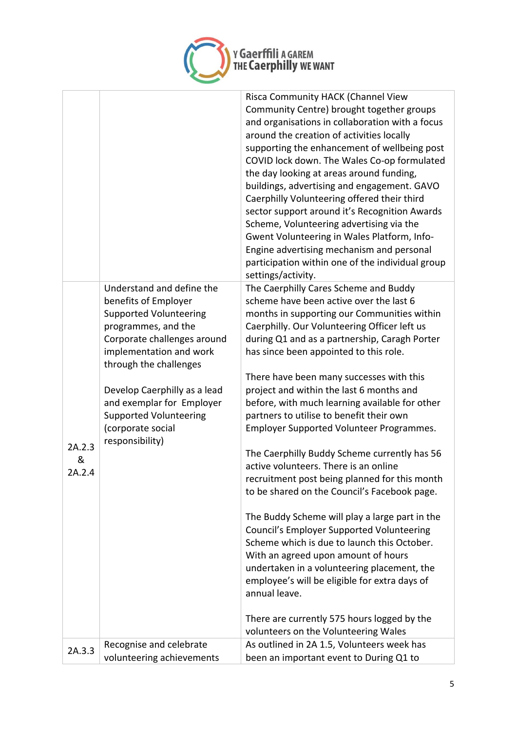

|        |                                                                                    | Risca Community HACK (Channel View<br>Community Centre) brought together groups<br>and organisations in collaboration with a focus<br>around the creation of activities locally<br>supporting the enhancement of wellbeing post<br>COVID lock down. The Wales Co-op formulated<br>the day looking at areas around funding,<br>buildings, advertising and engagement. GAVO<br>Caerphilly Volunteering offered their third<br>sector support around it's Recognition Awards<br>Scheme, Volunteering advertising via the<br>Gwent Volunteering in Wales Platform, Info-<br>Engine advertising mechanism and personal<br>participation within one of the individual group<br>settings/activity. |
|--------|------------------------------------------------------------------------------------|---------------------------------------------------------------------------------------------------------------------------------------------------------------------------------------------------------------------------------------------------------------------------------------------------------------------------------------------------------------------------------------------------------------------------------------------------------------------------------------------------------------------------------------------------------------------------------------------------------------------------------------------------------------------------------------------|
|        | Understand and define the<br>benefits of Employer<br><b>Supported Volunteering</b> | The Caerphilly Cares Scheme and Buddy<br>scheme have been active over the last 6<br>months in supporting our Communities within                                                                                                                                                                                                                                                                                                                                                                                                                                                                                                                                                             |
|        | programmes, and the                                                                | Caerphilly. Our Volunteering Officer left us                                                                                                                                                                                                                                                                                                                                                                                                                                                                                                                                                                                                                                                |
|        | Corporate challenges around                                                        | during Q1 and as a partnership, Caragh Porter                                                                                                                                                                                                                                                                                                                                                                                                                                                                                                                                                                                                                                               |
|        | implementation and work                                                            | has since been appointed to this role.                                                                                                                                                                                                                                                                                                                                                                                                                                                                                                                                                                                                                                                      |
|        | through the challenges                                                             |                                                                                                                                                                                                                                                                                                                                                                                                                                                                                                                                                                                                                                                                                             |
|        |                                                                                    | There have been many successes with this                                                                                                                                                                                                                                                                                                                                                                                                                                                                                                                                                                                                                                                    |
|        | Develop Caerphilly as a lead                                                       | project and within the last 6 months and                                                                                                                                                                                                                                                                                                                                                                                                                                                                                                                                                                                                                                                    |
|        | and exemplar for Employer                                                          | before, with much learning available for other                                                                                                                                                                                                                                                                                                                                                                                                                                                                                                                                                                                                                                              |
|        | <b>Supported Volunteering</b>                                                      | partners to utilise to benefit their own                                                                                                                                                                                                                                                                                                                                                                                                                                                                                                                                                                                                                                                    |
|        | (corporate social                                                                  | Employer Supported Volunteer Programmes.                                                                                                                                                                                                                                                                                                                                                                                                                                                                                                                                                                                                                                                    |
|        | responsibility)                                                                    |                                                                                                                                                                                                                                                                                                                                                                                                                                                                                                                                                                                                                                                                                             |
| 2A.2.3 |                                                                                    | The Caerphilly Buddy Scheme currently has 56                                                                                                                                                                                                                                                                                                                                                                                                                                                                                                                                                                                                                                                |
| &      |                                                                                    | active volunteers. There is an online                                                                                                                                                                                                                                                                                                                                                                                                                                                                                                                                                                                                                                                       |
| 2A.2.4 |                                                                                    | recruitment post being planned for this month                                                                                                                                                                                                                                                                                                                                                                                                                                                                                                                                                                                                                                               |
|        |                                                                                    | to be shared on the Council's Facebook page.                                                                                                                                                                                                                                                                                                                                                                                                                                                                                                                                                                                                                                                |
|        |                                                                                    |                                                                                                                                                                                                                                                                                                                                                                                                                                                                                                                                                                                                                                                                                             |
|        |                                                                                    | The Buddy Scheme will play a large part in the                                                                                                                                                                                                                                                                                                                                                                                                                                                                                                                                                                                                                                              |
|        |                                                                                    | <b>Council's Employer Supported Volunteering</b>                                                                                                                                                                                                                                                                                                                                                                                                                                                                                                                                                                                                                                            |
|        |                                                                                    | Scheme which is due to launch this October.                                                                                                                                                                                                                                                                                                                                                                                                                                                                                                                                                                                                                                                 |
|        |                                                                                    | With an agreed upon amount of hours                                                                                                                                                                                                                                                                                                                                                                                                                                                                                                                                                                                                                                                         |
|        |                                                                                    | undertaken in a volunteering placement, the                                                                                                                                                                                                                                                                                                                                                                                                                                                                                                                                                                                                                                                 |
|        |                                                                                    | employee's will be eligible for extra days of                                                                                                                                                                                                                                                                                                                                                                                                                                                                                                                                                                                                                                               |
|        |                                                                                    | annual leave.                                                                                                                                                                                                                                                                                                                                                                                                                                                                                                                                                                                                                                                                               |
|        |                                                                                    |                                                                                                                                                                                                                                                                                                                                                                                                                                                                                                                                                                                                                                                                                             |
|        |                                                                                    | There are currently 575 hours logged by the                                                                                                                                                                                                                                                                                                                                                                                                                                                                                                                                                                                                                                                 |
|        |                                                                                    | volunteers on the Volunteering Wales                                                                                                                                                                                                                                                                                                                                                                                                                                                                                                                                                                                                                                                        |
|        | Recognise and celebrate                                                            | As outlined in 2A 1.5, Volunteers week has                                                                                                                                                                                                                                                                                                                                                                                                                                                                                                                                                                                                                                                  |
| 2A.3.3 | volunteering achievements                                                          | been an important event to During Q1 to                                                                                                                                                                                                                                                                                                                                                                                                                                                                                                                                                                                                                                                     |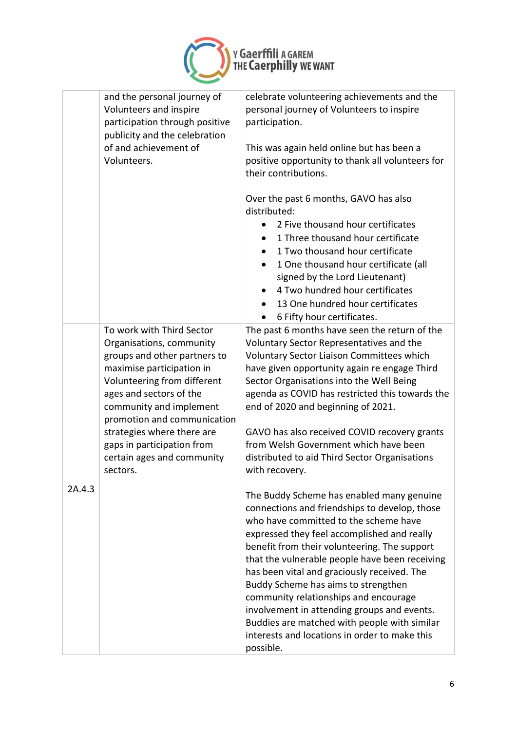

# ү Gaerffili л GAREM<br>тне Caerphilly we wanт

|        | and the personal journey of<br>Volunteers and inspire<br>participation through positive<br>publicity and the celebration          | celebrate volunteering achievements and the<br>personal journey of Volunteers to inspire<br>participation.                                                                                                                                                                                                                                                                                                                                                         |
|--------|-----------------------------------------------------------------------------------------------------------------------------------|--------------------------------------------------------------------------------------------------------------------------------------------------------------------------------------------------------------------------------------------------------------------------------------------------------------------------------------------------------------------------------------------------------------------------------------------------------------------|
|        | of and achievement of<br>Volunteers.                                                                                              | This was again held online but has been a<br>positive opportunity to thank all volunteers for<br>their contributions.                                                                                                                                                                                                                                                                                                                                              |
|        |                                                                                                                                   | Over the past 6 months, GAVO has also<br>distributed:                                                                                                                                                                                                                                                                                                                                                                                                              |
|        |                                                                                                                                   | 2 Five thousand hour certificates<br>1 Three thousand hour certificate<br>1 Two thousand hour certificate<br>$\bullet$                                                                                                                                                                                                                                                                                                                                             |
|        |                                                                                                                                   | 1 One thousand hour certificate (all<br>signed by the Lord Lieutenant)                                                                                                                                                                                                                                                                                                                                                                                             |
|        |                                                                                                                                   | 4 Two hundred hour certificates<br>13 One hundred hour certificates<br>6 Fifty hour certificates.                                                                                                                                                                                                                                                                                                                                                                  |
|        | To work with Third Sector<br>Organisations, community<br>groups and other partners to<br>maximise participation in                | The past 6 months have seen the return of the<br>Voluntary Sector Representatives and the<br>Voluntary Sector Liaison Committees which<br>have given opportunity again re engage Third                                                                                                                                                                                                                                                                             |
|        | Volunteering from different<br>ages and sectors of the<br>community and implement                                                 | Sector Organisations into the Well Being<br>agenda as COVID has restricted this towards the<br>end of 2020 and beginning of 2021.                                                                                                                                                                                                                                                                                                                                  |
|        | promotion and communication<br>strategies where there are<br>gaps in participation from<br>certain ages and community<br>sectors. | GAVO has also received COVID recovery grants<br>from Welsh Government which have been<br>distributed to aid Third Sector Organisations<br>with recovery.                                                                                                                                                                                                                                                                                                           |
| 2A.4.3 |                                                                                                                                   | The Buddy Scheme has enabled many genuine<br>connections and friendships to develop, those<br>who have committed to the scheme have<br>expressed they feel accomplished and really<br>benefit from their volunteering. The support<br>that the vulnerable people have been receiving<br>has been vital and graciously received. The<br>Buddy Scheme has aims to strengthen<br>community relationships and encourage<br>involvement in attending groups and events. |
|        |                                                                                                                                   | Buddies are matched with people with similar<br>interests and locations in order to make this<br>possible.                                                                                                                                                                                                                                                                                                                                                         |